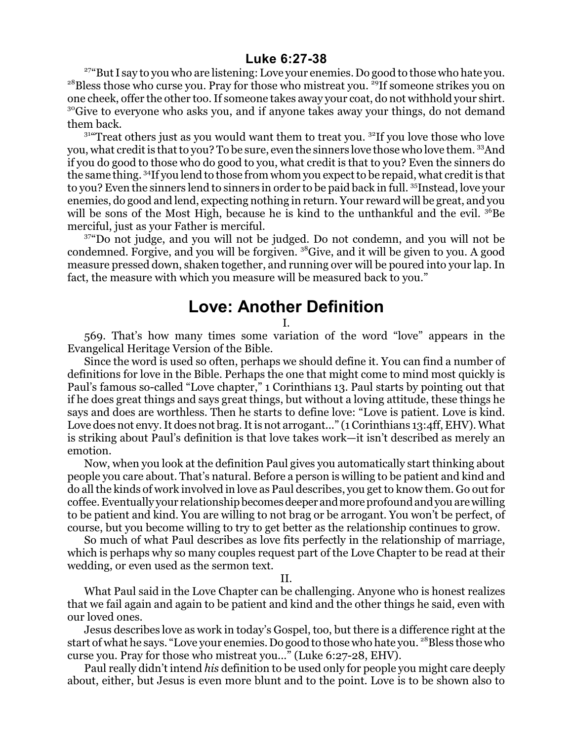## **Luke 6:27-38**

<sup>27</sup> But I say to you who are listening: Love your enemies. Do good to those who hate you.  $^{28}$ Bless those who curse you. Pray for those who mistreat you.  $^{29}$ If someone strikes you on one cheek, offer the other too. If someone takes away your coat, do not withhold your shirt. <sup>30</sup>Give to everyone who asks you, and if anyone takes away your things, do not demand them back.

 $31^{\circ}$ Treat others just as you would want them to treat you.  $3^{\circ}$ If you love those who love you, what credit is that to you? To be sure, even the sinners love those who love them. 33And if you do good to those who do good to you, what credit is that to you? Even the sinners do the same thing. <sup>34</sup>If you lend to those from whom you expect to be repaid, what credit is that to you? Even the sinners lend to sinners in order to be paid back in full. <sup>35</sup>Instead, love your enemies, do good and lend, expecting nothing in return. Your reward will be great, and you will be sons of the Most High, because he is kind to the unthankful and the evil.  $36Be$ merciful, just as your Father is merciful.

37 "Do not judge, and you will not be judged. Do not condemn, and you will not be condemned. Forgive, and you will be forgiven. <sup>38</sup>Give, and it will be given to you. A good measure pressed down, shaken together, and running over will be poured into your lap. In fact, the measure with which you measure will be measured back to you."

## **Love: Another Definition**

I.

569. That's how many times some variation of the word "love" appears in the Evangelical Heritage Version of the Bible.

Since the word is used so often, perhaps we should define it. You can find a number of definitions for love in the Bible. Perhaps the one that might come to mind most quickly is Paul's famous so-called "Love chapter," 1 Corinthians 13. Paul starts by pointing out that if he does great things and says great things, but without a loving attitude, these things he says and does are worthless. Then he starts to define love: "Love is patient. Love is kind. Love does not envy. It does not brag. It is not arrogant..." (1 Corinthians 13:4ff, EHV). What is striking about Paul's definition is that love takes work—it isn't described as merely an emotion.

Now, when you look at the definition Paul gives you automatically start thinking about people you care about. That's natural. Before a person is willing to be patient and kind and do all the kinds of work involved in love as Paul describes, you get to know them. Go out for coffee. Eventually your relationship becomes deeper and more profound and you are willing to be patient and kind. You are willing to not brag or be arrogant. You won't be perfect, of course, but you become willing to try to get better as the relationship continues to grow.

So much of what Paul describes as love fits perfectly in the relationship of marriage, which is perhaps why so many couples request part of the Love Chapter to be read at their wedding, or even used as the sermon text.

II.

What Paul said in the Love Chapter can be challenging. Anyone who is honest realizes that we fail again and again to be patient and kind and the other things he said, even with our loved ones.

Jesus describes love as work in today's Gospel, too, but there is a difference right at the start of what he says. "Love your enemies. Do good to those who hate you. <sup>28</sup>Bless those who curse you. Pray for those who mistreat you..." (Luke 6:27-28, EHV).

Paul really didn't intend *his* definition to be used only for people you might care deeply about, either, but Jesus is even more blunt and to the point. Love is to be shown also to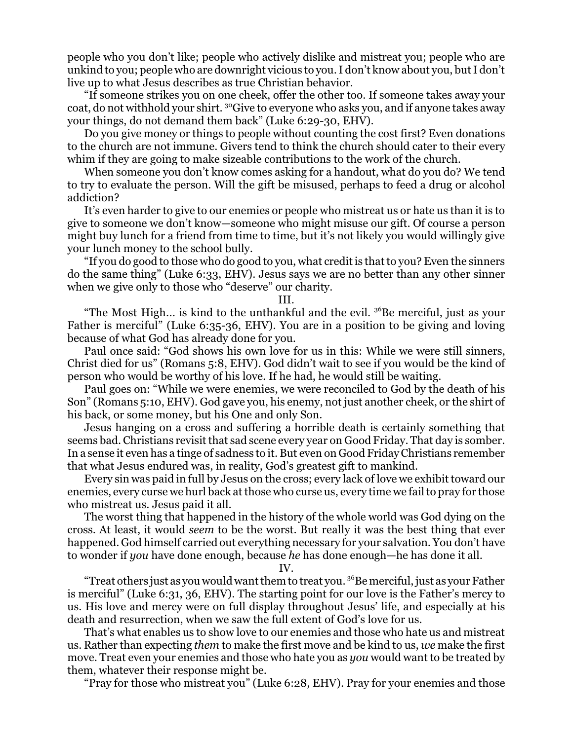people who you don't like; people who actively dislike and mistreat you; people who are unkind to you; people who are downright vicious to you. I don't know about you, butI don't live up to what Jesus describes as true Christian behavior.

"If someone strikes you on one cheek, offer the other too. If someone takes away your coat, do not withhold your shirt. <sup>30</sup>Give to everyone who asks you, and if anyone takes away your things, do not demand them back" (Luke 6:29-30, EHV).

Do you give money or things to people without counting the cost first? Even donations to the church are not immune. Givers tend to think the church should cater to their every whim if they are going to make sizeable contributions to the work of the church.

When someone you don't know comes asking for a handout, what do you do? We tend to try to evaluate the person. Will the gift be misused, perhaps to feed a drug or alcohol addiction?

It's even harder to give to our enemies or people who mistreat us or hate us than it is to give to someone we don't know—someone who might misuse our gift. Of course a person might buy lunch for a friend from time to time, but it's not likely you would willingly give your lunch money to the school bully.

"If you do good to those who do good to you, what credit is that to you? Even the sinners do the same thing" (Luke 6:33, EHV). Jesus says we are no better than any other sinner when we give only to those who "deserve" our charity.

## III.

"The Most High... is kind to the unthankful and the evil.  $3<sup>6</sup>$ Be merciful, just as your Father is merciful" (Luke 6:35-36, EHV). You are in a position to be giving and loving because of what God has already done for you.

Paul once said: "God shows his own love for us in this: While we were still sinners, Christ died for us" (Romans 5:8, EHV). God didn't wait to see if you would be the kind of person who would be worthy of his love. If he had, he would still be waiting.

Paul goes on: "While we were enemies, we were reconciled to God by the death of his Son" (Romans 5:10, EHV). God gave you, his enemy, not just another cheek, or the shirt of his back, or some money, but his One and only Son.

Jesus hanging on a cross and suffering a horrible death is certainly something that seems bad. Christians revisitthat sad scene every year on Good Friday. That day is somber. In a sense it even has a tinge of sadness to it. But even on Good Friday Christians remember that what Jesus endured was, in reality, God's greatest gift to mankind.

Every sin was paid in full by Jesus on the cross; every lack of love we exhibit toward our enemies, every curse we hurl back at those who curse us, every time we fail to pray for those who mistreat us. Jesus paid it all.

The worst thing that happened in the history of the whole world was God dying on the cross. At least, it would *seem* to be the worst. But really it was the best thing that ever happened. God himself carried out everything necessary for your salvation. You don't have to wonder if *you* have done enough, because *he* has done enough—he has done it all.

## IV.

"Treat others just as you would want them to treat you. <sup>36</sup>Be merciful, just as your Father is merciful" (Luke 6:31, 36, EHV). The starting point for our love is the Father's mercy to us. His love and mercy were on full display throughout Jesus' life, and especially at his death and resurrection, when we saw the full extent of God's love for us.

That's what enables us to show love to our enemies and those who hate us and mistreat us. Rather than expecting *them* to make the first move and be kind to us, *we* make the first move. Treat even your enemies and those who hate you as *you* would want to be treated by them, whatever their response might be.

"Pray for those who mistreat you" (Luke 6:28, EHV). Pray for your enemies and those